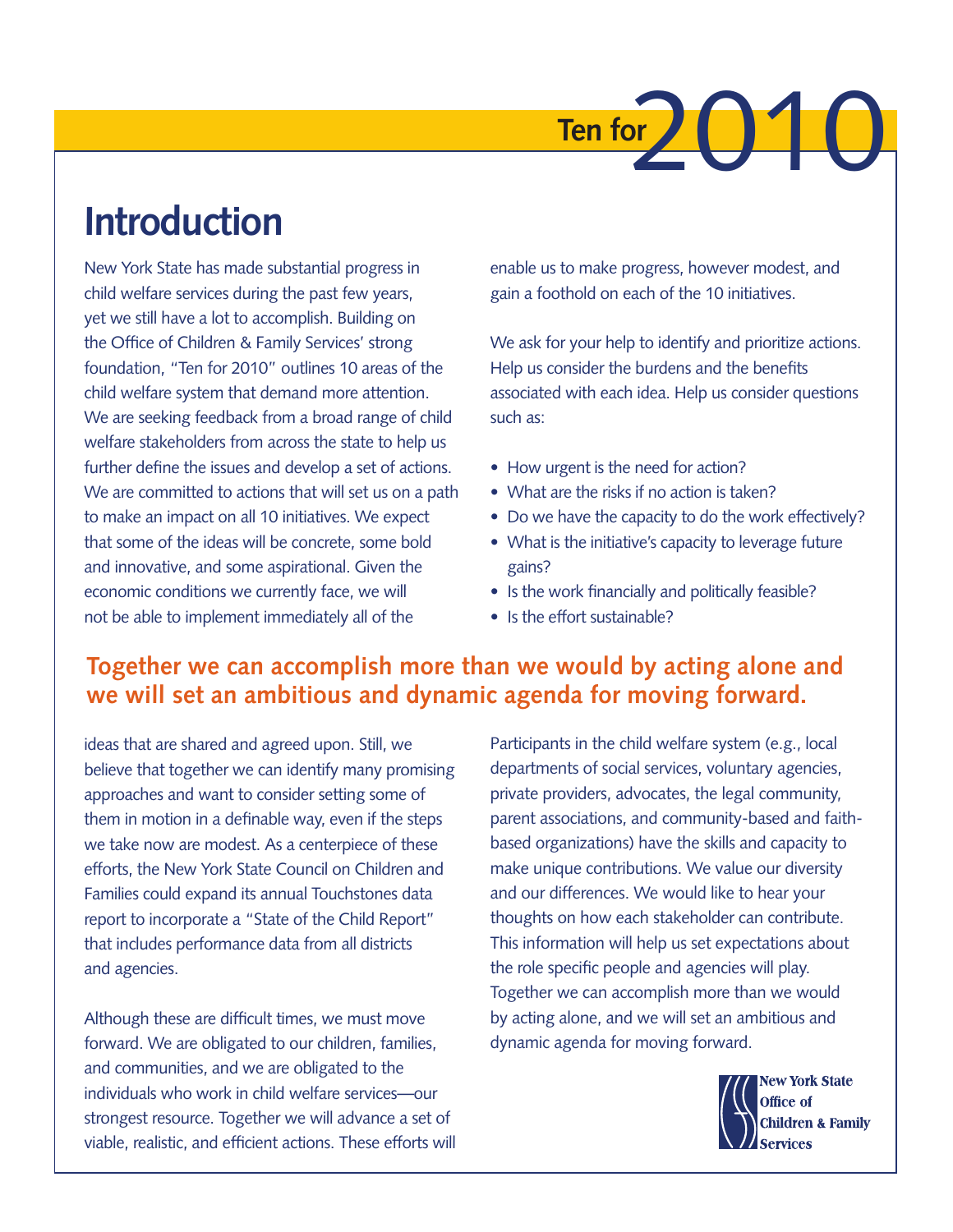

# **Introduction**

New York State has made substantial progress in child welfare services during the past few years, yet we still have a lot to accomplish. Building on the Office of Children & Family Services' strong foundation, "Ten for 2010" outlines 10 areas of the child welfare system that demand more attention. We are seeking feedback from a broad range of child welfare stakeholders from across the state to help us further define the issues and develop a set of actions. We are committed to actions that will set us on a path to make an impact on all 10 initiatives. We expect that some of the ideas will be concrete, some bold and innovative, and some aspirational. Given the economic conditions we currently face, we will not be able to implement immediately all of the

enable us to make progress, however modest, and gain a foothold on each of the 10 initiatives.

We ask for your help to identify and prioritize actions. Help us consider the burdens and the benefits associated with each idea. Help us consider questions such as:

- How urgent is the need for action?
- What are the risks if no action is taken?
- Do we have the capacity to do the work effectively?
- What is the initiative's capacity to leverage future gains?
- Is the work financially and politically feasible?
- Is the effort sustainable?

## **Together we can accomplish more than we would by acting alone and we will set an ambitious and dynamic agenda for moving forward.**

ideas that are shared and agreed upon. Still, we believe that together we can identify many promising approaches and want to consider setting some of them in motion in a definable way, even if the steps we take now are modest. As a centerpiece of these efforts, the New York State Council on Children and Families could expand its annual Touchstones data report to incorporate a "State of the Child Report" that includes performance data from all districts and agencies.

Although these are difficult times, we must move forward. We are obligated to our children, families, and communities, and we are obligated to the individuals who work in child welfare services—our strongest resource. Together we will advance a set of viable, realistic, and efficient actions. These efforts will

Participants in the child welfare system (e.g., local departments of social services, voluntary agencies, private providers, advocates, the legal community, parent associations, and community-based and faithbased organizations) have the skills and capacity to make unique contributions. We value our diversity and our differences. We would like to hear your thoughts on how each stakeholder can contribute. This information will help us set expectations about the role specific people and agencies will play. Together we can accomplish more than we would by acting alone, and we will set an ambitious and dynamic agenda for moving forward.



**New York State** Office of **Children & Family Services**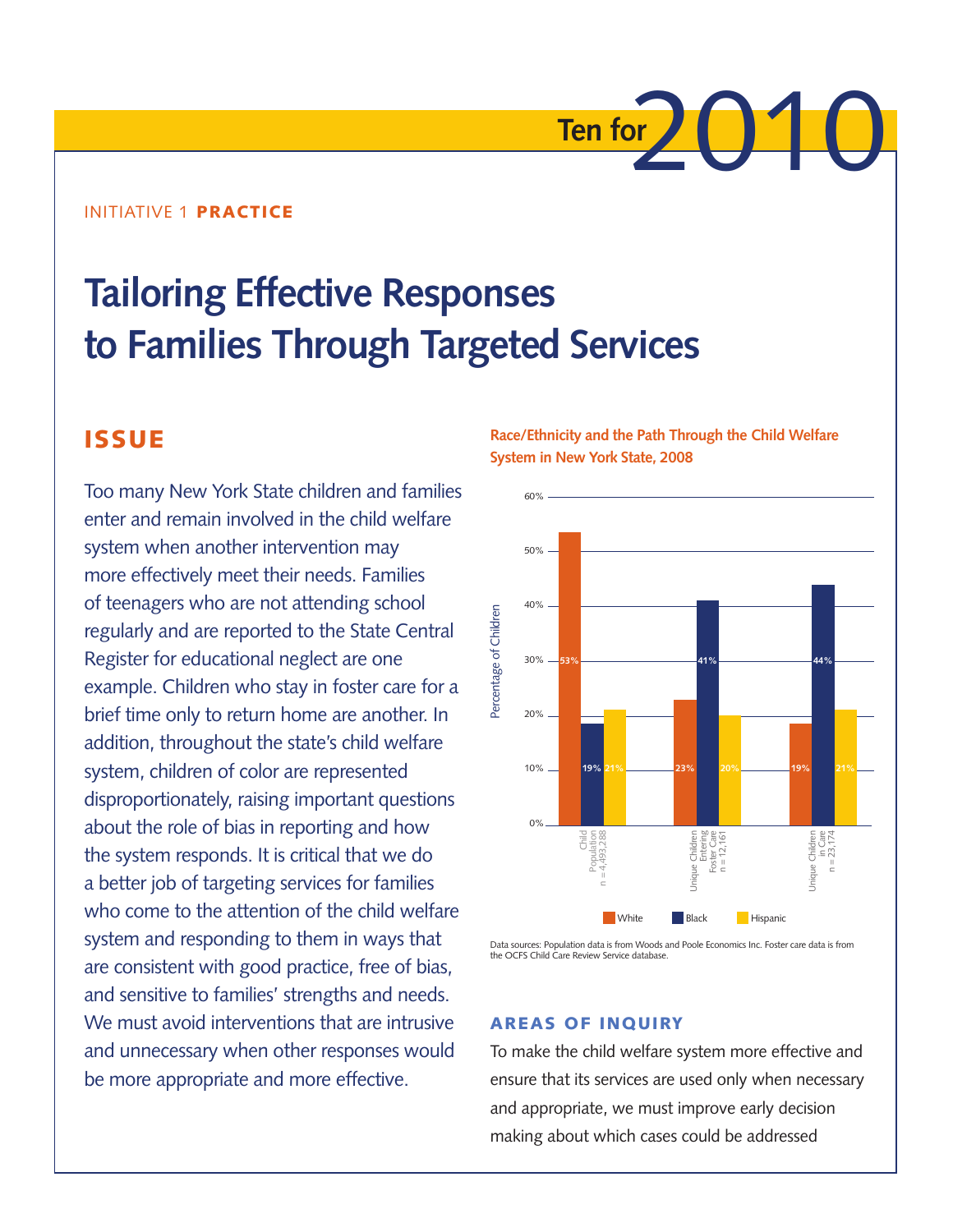# **Ten for**<sup>201</sup>

#### Initiative 1 Practice

# **Tailoring Effective Responses to Families Through Targeted Services**

## **ISSUE**

Too many New York State children and families enter and remain involved in the child welfare system when another intervention may more effectively meet their needs. Families of teenagers who are not attending school regularly and are reported to the State Central Register for educational neglect are one example. Children who stay in foster care for a brief time only to return home are another. In addition, throughout the state's child welfare system, children of color are represented disproportionately, raising important questions about the role of bias in reporting and how the system responds. It is critical that we do a better job of targeting services for families who come to the attention of the child welfare system and responding to them in ways that are consistent with good practice, free of bias, and sensitive to families' strengths and needs. We must avoid interventions that are intrusive and unnecessary when other responses would be more appropriate and more effective.

**Race/Ethnicity and the Path Through the Child Welfare System in New York State, 2008**



Data sources: Population data is from Woods and Poole Economics Inc. Foster care data is from the OCFS Child Care Review Service database.

#### Areas of inquiry

To make the child welfare system more effective and ensure that its services are used only when necessary and appropriate, we must improve early decision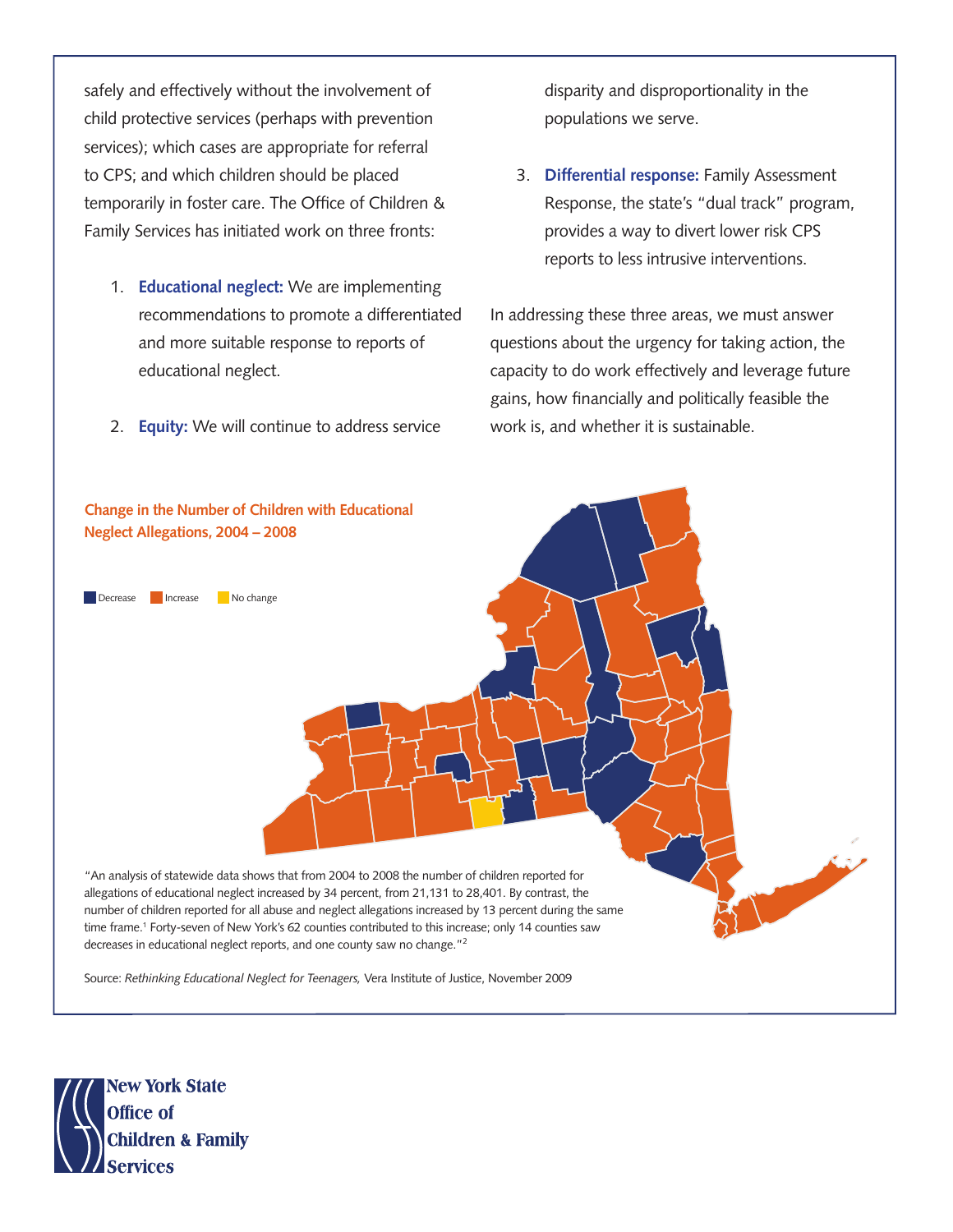safely and effectively without the involvement of child protective services (perhaps with prevention services); which cases are appropriate for referral to CPS; and which children should be placed temporarily in foster care. The Office of Children & Family Services has initiated work on three fronts:

- 1. **Educational neglect:** We are implementing recommendations to promote a differentiated and more suitable response to reports of educational neglect.
- 2. **Equity:** We will continue to address service

disparity and disproportionality in the populations we serve.

3. **Differential response:** Family Assessment Response, the state's "dual track" program, provides a way to divert lower risk CPS reports to less intrusive interventions.

In addressing these three areas, we must answer questions about the urgency for taking action, the capacity to do work effectively and leverage future gains, how financially and politically feasible the work is, and whether it is sustainable.



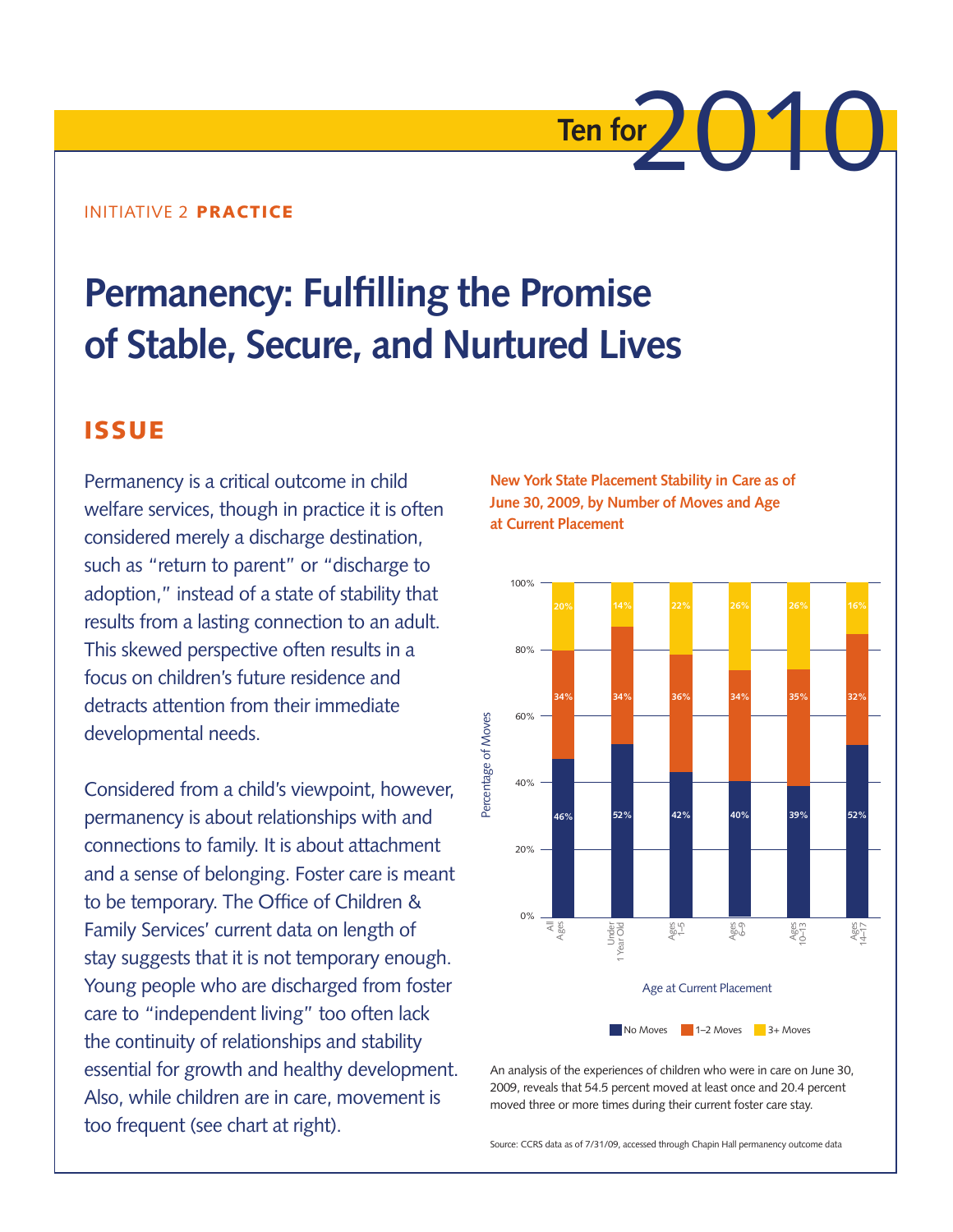#### Initiative 2 Practice

# **Permanency: Fulfilling the Promise of Stable, Secure, and Nurtured Lives**

## **ISSUE**

Permanency is a critical outcome in child welfare services, though in practice it is often considered merely a discharge destination, such as "return to parent" or "discharge to adoption," instead of a state of stability that results from a lasting connection to an adult. This skewed perspective often results in a focus on children's future residence and detracts attention from their immediate developmental needs.

Considered from a child's viewpoint, however, permanency is about relationships with and connections to family. It is about attachment and a sense of belonging. Foster care is meant to be temporary. The Office of Children & Family Services' current data on length of stay suggests that it is not temporary enough. Young people who are discharged from foster care to "independent living" too often lack the continuity of relationships and stability essential for growth and healthy development. Also, while children are in care, movement is too frequent (see chart at right).

**New York State Placement Stability in Care as of June 30, 2009, by Number of Moves and Age at Current Placement**

**Ten for**<sup>2</sup>



An analysis of the experiences of children who were in care on June 30, 2009, reveals that 54.5 percent moved at least once and 20.4 percent moved three or more times during their current foster care stay.

Source: CCRS data as of 7/31/09, accessed through Chapin Hall permanency outcome data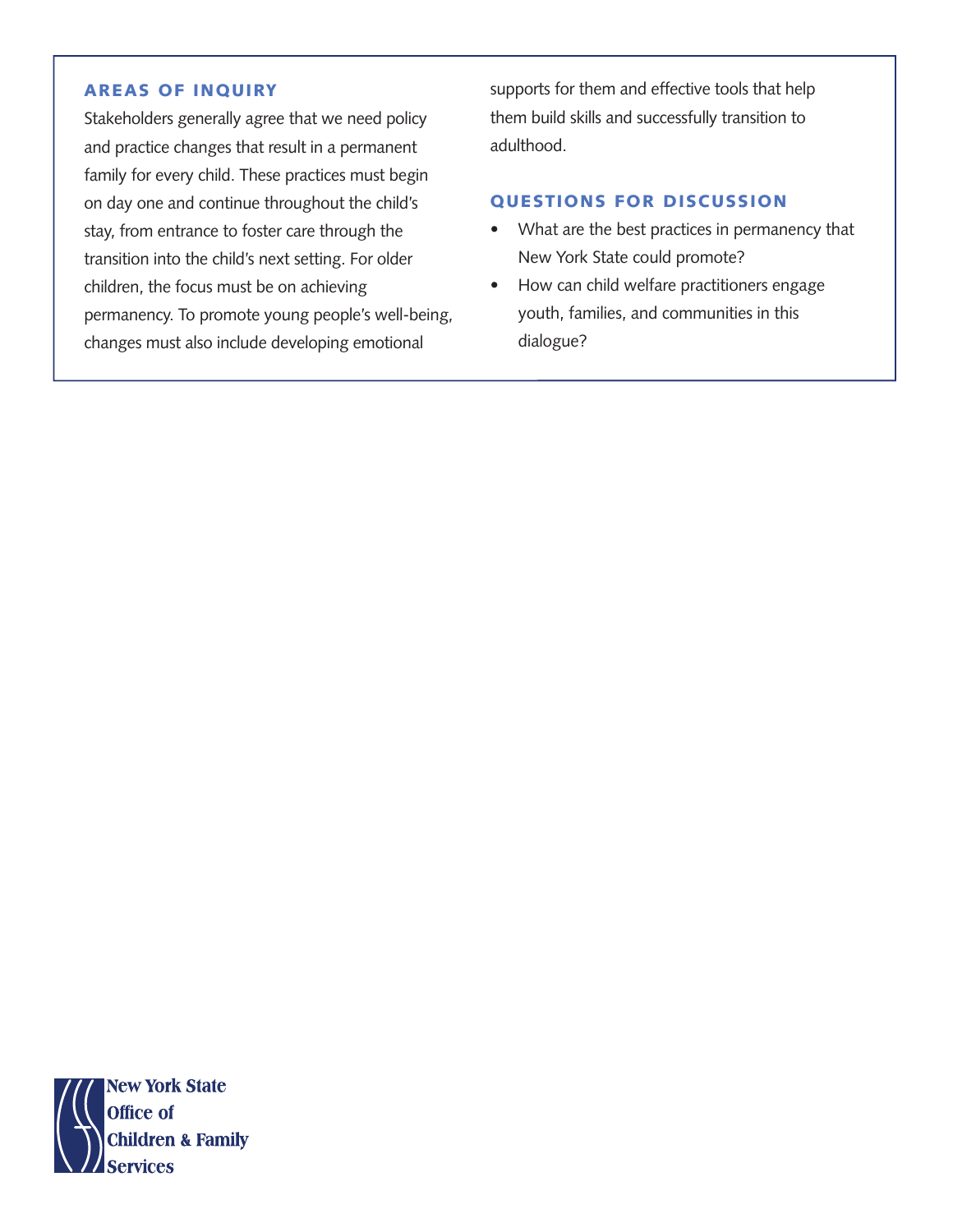#### Areas of inquiry

Stakeholders generally agree that we need policy and practice changes that result in a permanent family for every child. These practices must begin on day one and continue throughout the child's stay, from entrance to foster care through the transition into the child's next setting. For older children, the focus must be on achieving permanency. To promote young people's well-being, changes must also include developing emotional

supports for them and effective tools that help them build skills and successfully transition to adulthood.

- What are the best practices in permanency that New York State could promote?
- How can child welfare practitioners engage youth, families, and communities in this dialogue?

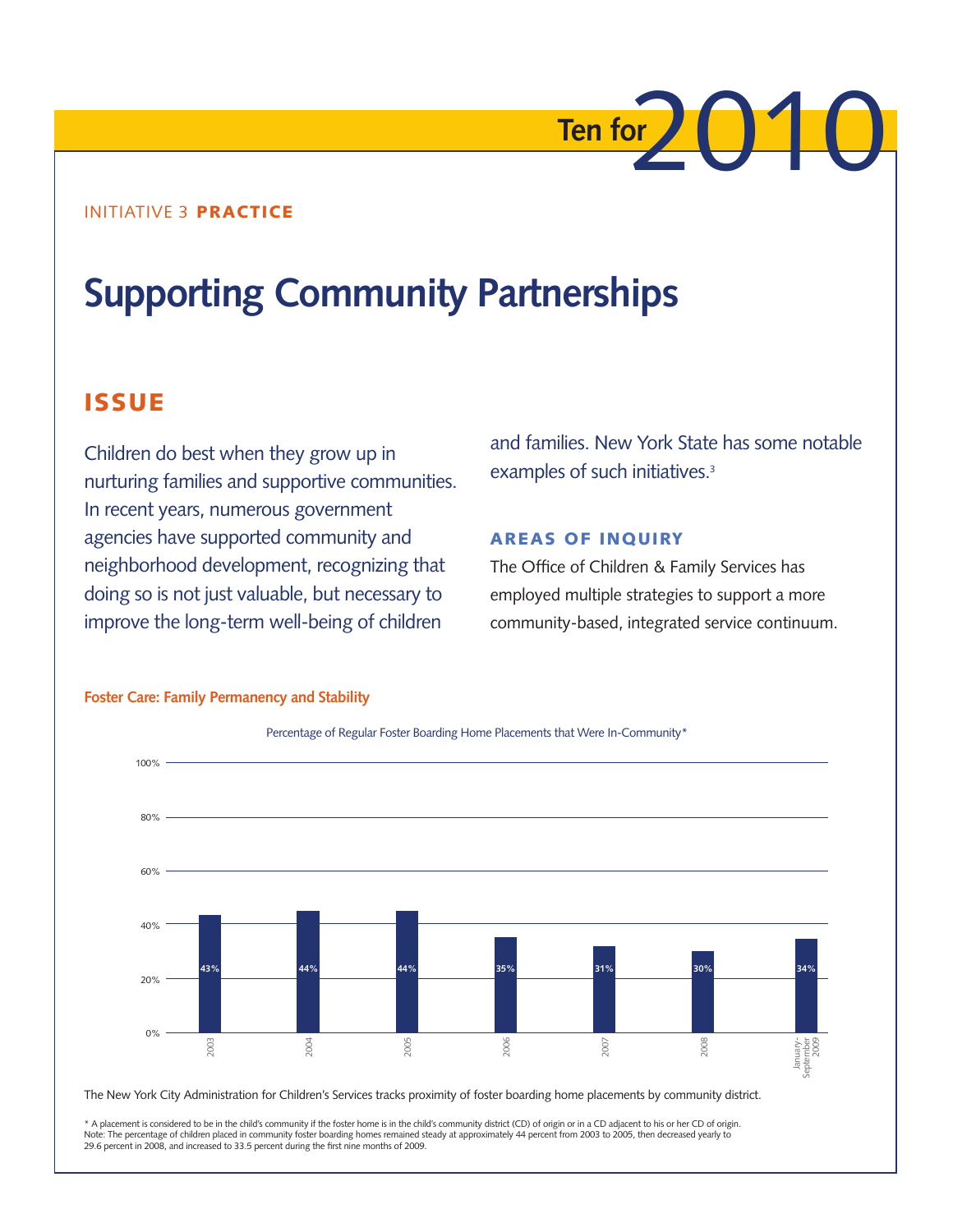

#### Initiative 3 Practice

# **Supporting Community Partnerships**

## **ISSUE**

Children do best when they grow up in nurturing families and supportive communities. In recent years, numerous government agencies have supported community and neighborhood development, recognizing that doing so is not just valuable, but necessary to improve the long-term well-being of children

and families. New York State has some notable examples of such initiatives.3

#### Areas of inquiry

The Office of Children & Family Services has employed multiple strategies to support a more community-based, integrated service continuum.



#### **Foster Care: Family Permanency and Stability**

The New York City Administration for Children's Services tracks proximity of foster boarding home placements by community district.

\* A placement is considered to be in the child's community if the foster home is in the child's community district (CD) of origin or in a CD adjacent to his or her CD of origin. Note: The percentage of children placed in community foster boarding homes remained steady at approximately 44 percent from 2003 to 2005, then decreased yearly to<br>29.6 percent in 2008, and increased to 33.5 percent during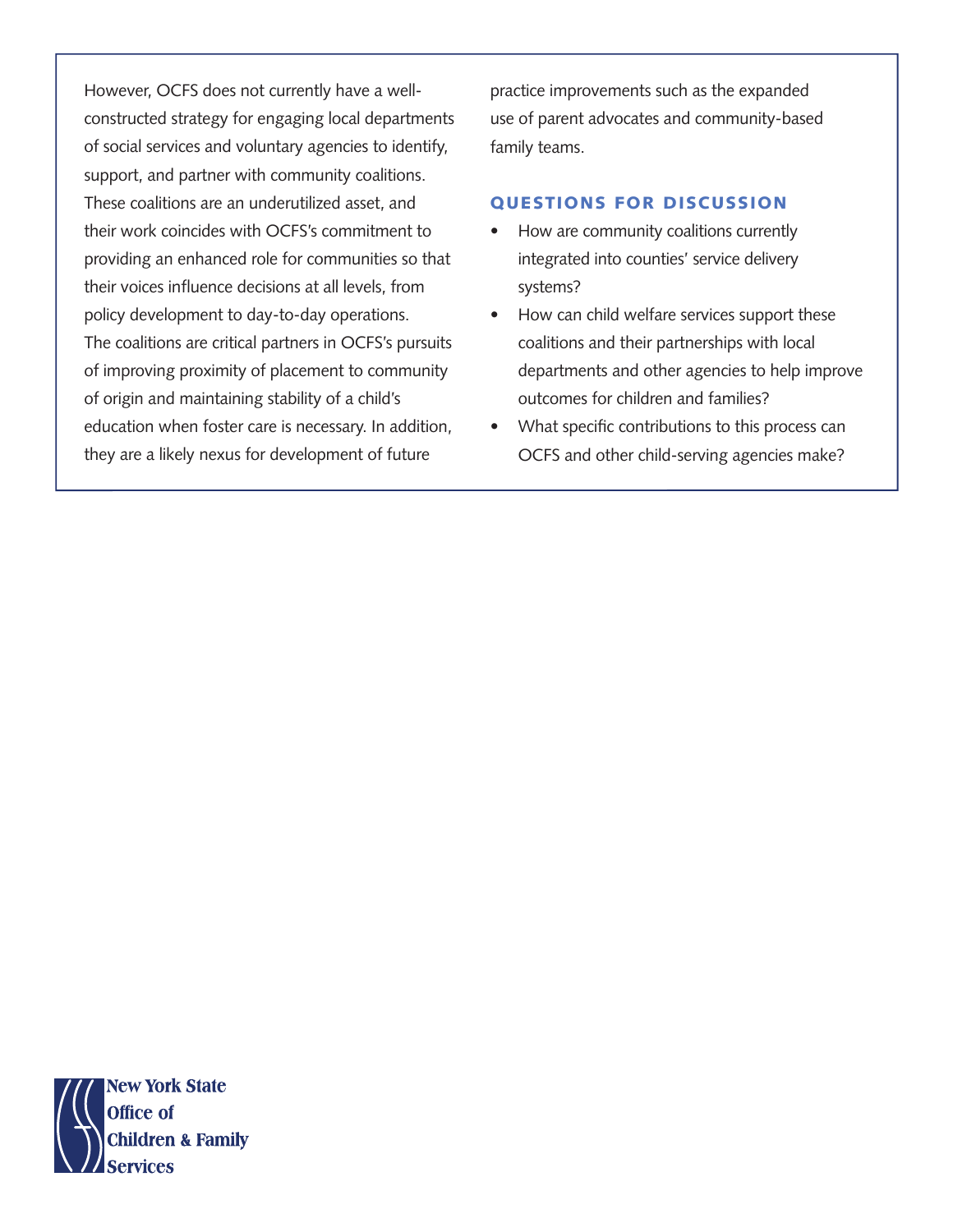However, OCFS does not currently have a wellconstructed strategy for engaging local departments of social services and voluntary agencies to identify, support, and partner with community coalitions. These coalitions are an underutilized asset, and their work coincides with OCFS's commitment to providing an enhanced role for communities so that their voices influence decisions at all levels, from policy development to day-to-day operations. The coalitions are critical partners in OCFS's pursuits of improving proximity of placement to community of origin and maintaining stability of a child's education when foster care is necessary. In addition, they are a likely nexus for development of future

practice improvements such as the expanded use of parent advocates and community-based family teams.

- How are community coalitions currently integrated into counties' service delivery systems?
- How can child welfare services support these coalitions and their partnerships with local departments and other agencies to help improve outcomes for children and families?
- What specific contributions to this process can OCFS and other child-serving agencies make?

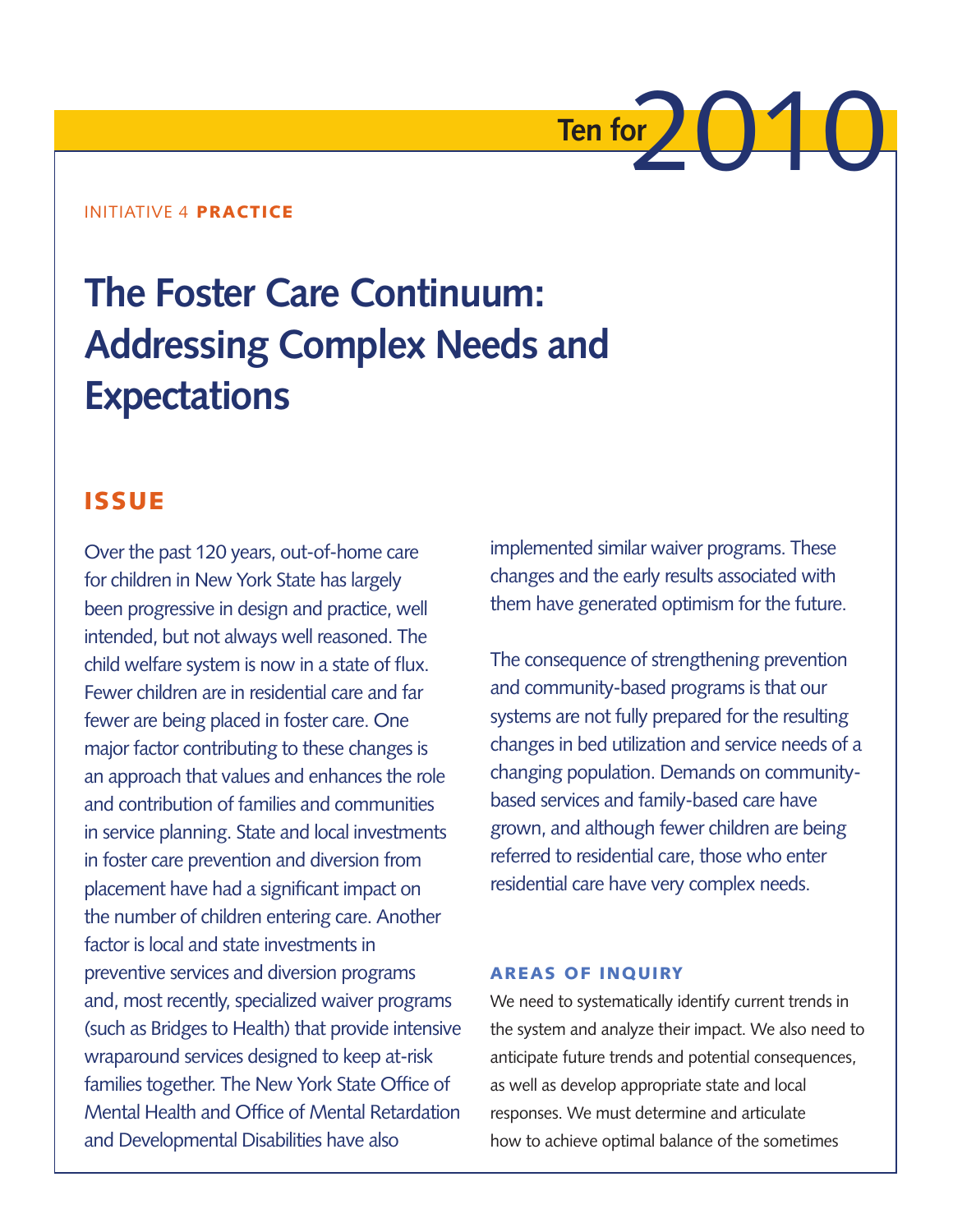#### Initiative 4 Practice

# **The Foster Care Continuum: Addressing Complex Needs and Expectations**

## **ISSUE**

Over the past 120 years, out-of-home care for children in New York State has largely been progressive in design and practice, well intended, but not always well reasoned. The child welfare system is now in a state of flux. Fewer children are in residential care and far fewer are being placed in foster care. One major factor contributing to these changes is an approach that values and enhances the role and contribution of families and communities in service planning. State and local investments in foster care prevention and diversion from placement have had a significant impact on the number of children entering care. Another factor is local and state investments in preventive services and diversion programs and, most recently, specialized waiver programs (such as Bridges to Health) that provide intensive wraparound services designed to keep at-risk families together. The New York State Office of Mental Health and Office of Mental Retardation and Developmental Disabilities have also

implemented similar waiver programs. These changes and the early results associated with them have generated optimism for the future.

**Ten for** 2010

The consequence of strengthening prevention and community-based programs is that our systems are not fully prepared for the resulting changes in bed utilization and service needs of a changing population. Demands on communitybased services and family-based care have grown, and although fewer children are being referred to residential care, those who enter residential care have very complex needs.

#### Areas of inquiry

We need to systematically identify current trends in the system and analyze their impact. We also need to anticipate future trends and potential consequences, as well as develop appropriate state and local responses. We must determine and articulate how to achieve optimal balance of the sometimes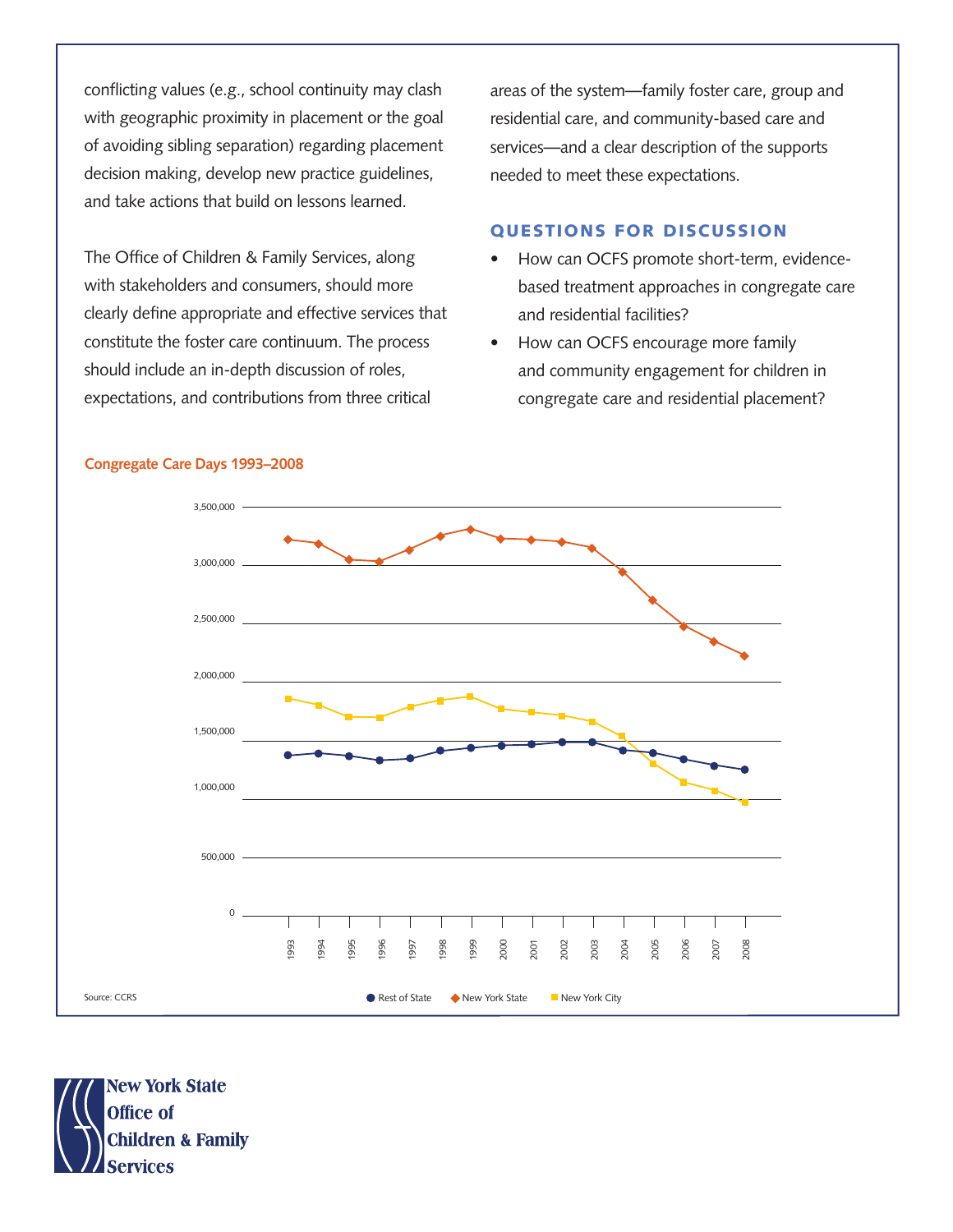conflicting values (e.g., school continuity may clash with geographic proximity in placement or the goal of avoiding sibling separation) regarding placement decision making, develop new practice guidelines, and take actions that build on lessons learned.

The Office of Children & Family Services, along with stakeholders and consumers, should more clearly define appropriate and effective services that constitute the foster care continuum. The process should include an in-depth discussion of roles, expectations, and contributions from three critical

areas of the system—family foster care, group and residential care, and community-based care and services—and a clear description of the supports needed to meet these expectations.

#### Questions for discussion

- How can OCFS promote short-term, evidencebased treatment approaches in congregate care and residential facilities?
- How can OCFS encourage more family and community engagement for children in congregate care and residential placement?



#### **Congregate Care Days 1993–2008**

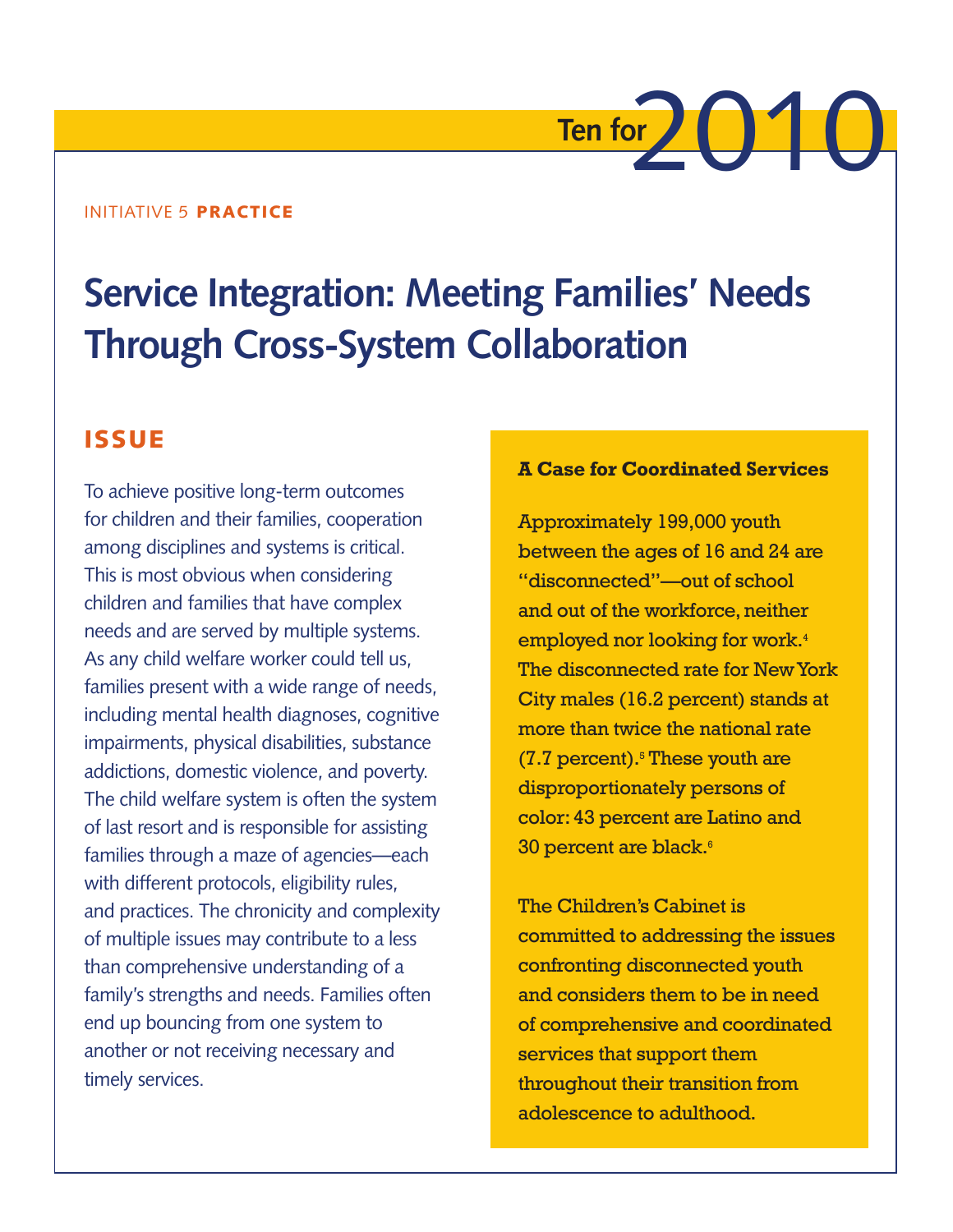# **Ten for** 2010

#### Initiative 5 Practice

# **Service Integration: Meeting Families' Needs Through Cross-System Collaboration**

## **ISSUE**

To achieve positive long-term outcomes for children and their families, cooperation among disciplines and systems is critical. This is most obvious when considering children and families that have complex needs and are served by multiple systems. As any child welfare worker could tell us, families present with a wide range of needs, including mental health diagnoses, cognitive impairments, physical disabilities, substance addictions, domestic violence, and poverty. The child welfare system is often the system of last resort and is responsible for assisting families through a maze of agencies—each with different protocols, eligibility rules, and practices. The chronicity and complexity of multiple issues may contribute to a less than comprehensive understanding of a family's strengths and needs. Families often end up bouncing from one system to another or not receiving necessary and timely services.

#### **A Case for Coordinated Services**

Approximately 199,000 youth between the ages of 16 and 24 are "disconnected"—out of school and out of the workforce, neither employed nor looking for work.<sup>4</sup> The disconnected rate for New York City males (16.2 percent) stands at more than twice the national rate (7.7 percent).<sup>5</sup> These youth are disproportionately persons of color: 43 percent are Latino and 30 percent are black.<sup>6</sup>

The Children's Cabinet is committed to addressing the issues confronting disconnected youth and considers them to be in need of comprehensive and coordinated services that support them throughout their transition from adolescence to adulthood.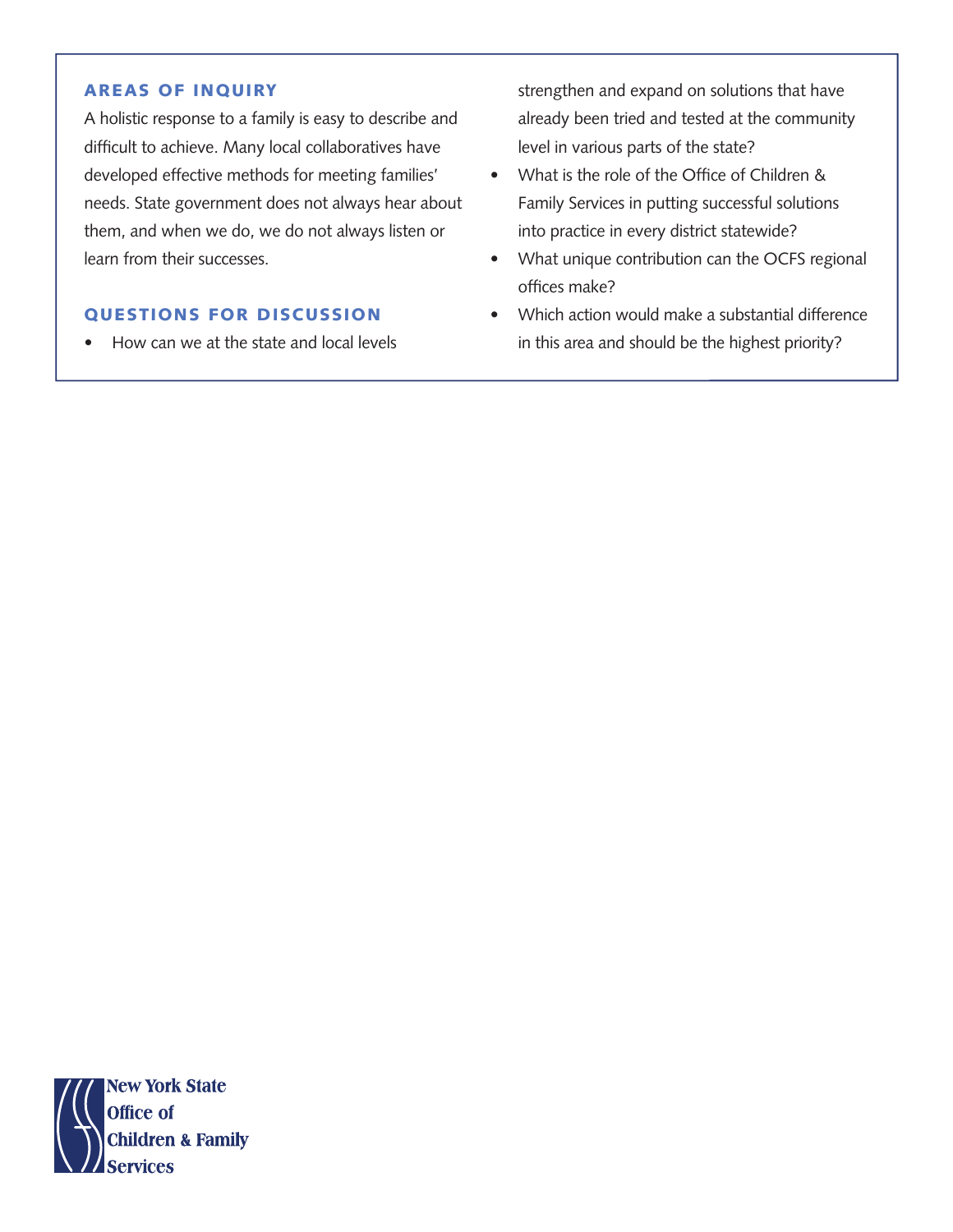#### Areas of inquiry

A holistic response to a family is easy to describe and difficult to achieve. Many local collaboratives have developed effective methods for meeting families' needs. State government does not always hear about them, and when we do, we do not always listen or learn from their successes.

#### Questions for discussion

• How can we at the state and local levels

strengthen and expand on solutions that have already been tried and tested at the community level in various parts of the state?

- What is the role of the Office of Children & Family Services in putting successful solutions into practice in every district statewide?
- What unique contribution can the OCFS regional offices make?
- Which action would make a substantial difference in this area and should be the highest priority?

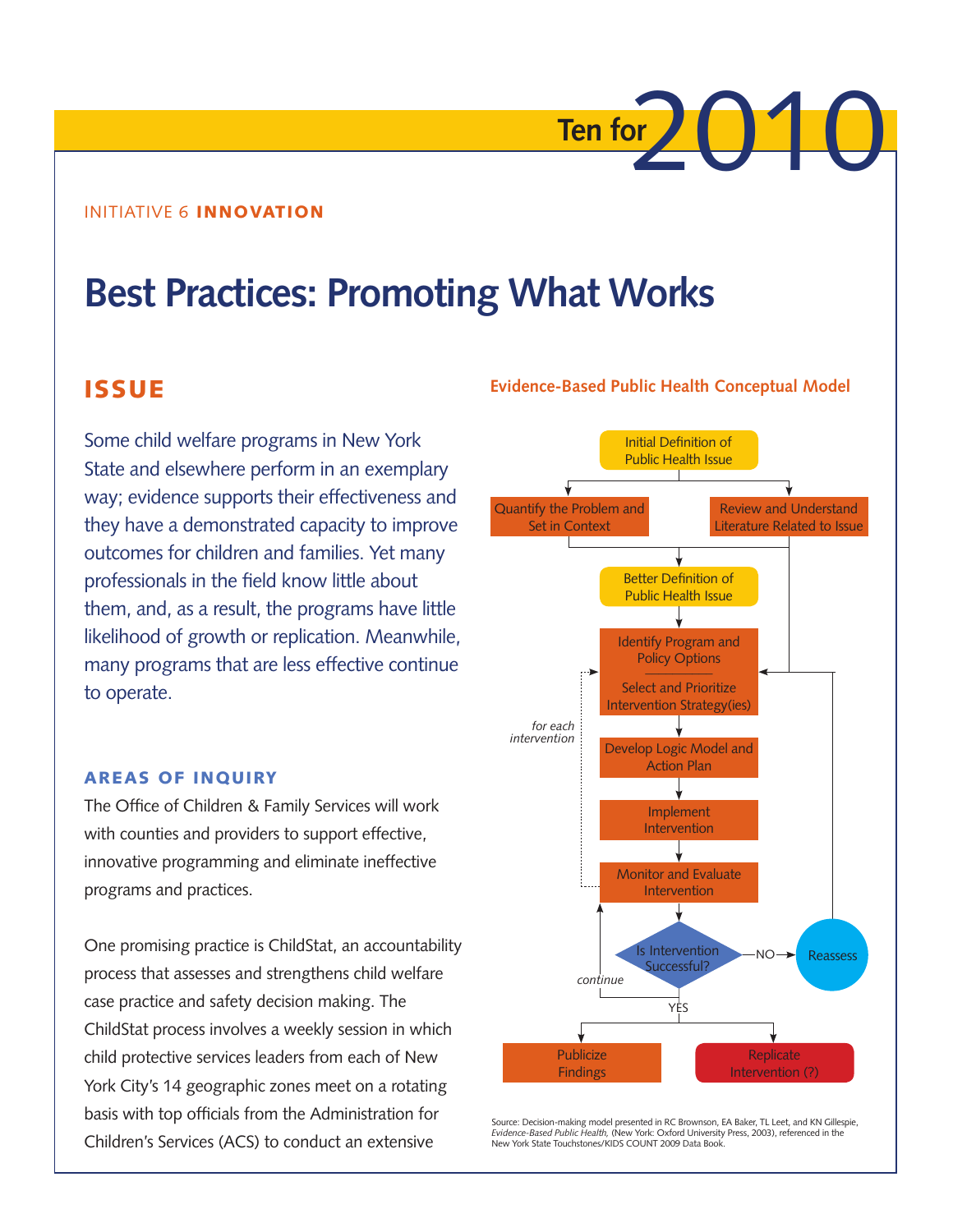#### Initiative 6 innovation

# **Best Practices: Promoting What Works**

## **ISSUE**

Some child welfare programs in New York State and elsewhere perform in an exemplary way; evidence supports their effectiveness and they have a demonstrated capacity to improve outcomes for children and families. Yet many professionals in the field know little about them, and, as a result, the programs have little likelihood of growth or replication. Meanwhile, many programs that are less effective continue to operate.

#### Areas of inquiry

The Office of Children & Family Services will work with counties and providers to support effective, innovative programming and eliminate ineffective programs and practices.

One promising practice is ChildStat, an accountability process that assesses and strengthens child welfare case practice and safety decision making. The ChildStat process involves a weekly session in which child protective services leaders from each of New York City's 14 geographic zones meet on a rotating basis with top officials from the Administration for Children's Services (ACS) to conduct an extensive

#### **Evidence-Based Public Health Conceptual Model**

**Ten for**<sup>201</sup>



Source: Decision-making model presented in RC Brownson, EA Baker, TL Leet, and KN Gillespie, *Evidence-Based Public Health,* (New York: Oxford University Press, 2003), referenced in the New York State Touchstones/KIDS COUNT 2009 Data Book.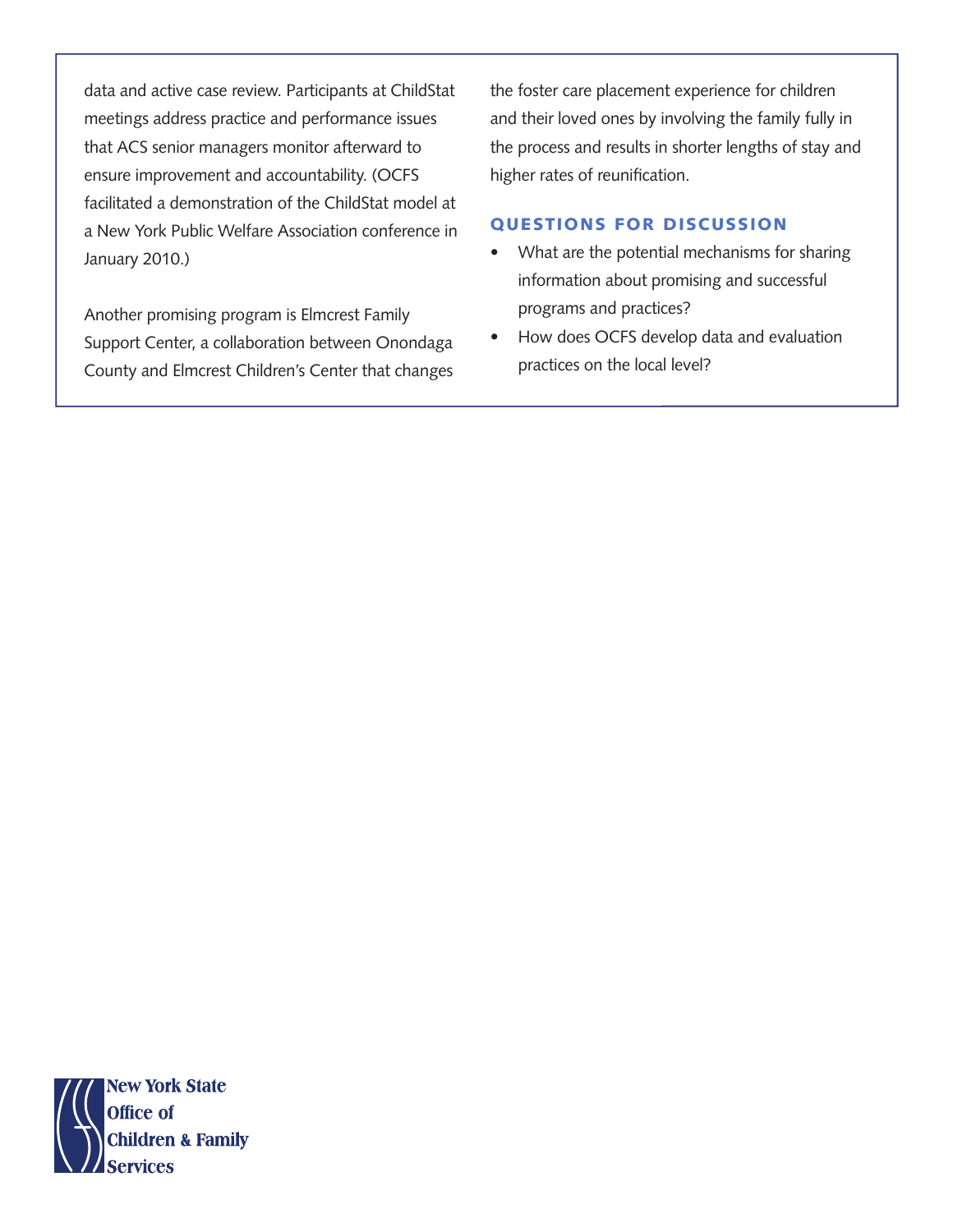data and active case review. Participants at ChildStat meetings address practice and performance issues that ACS senior managers monitor afterward to ensure improvement and accountability. (OCFS facilitated a demonstration of the ChildStat model at a New York Public Welfare Association conference in January 2010.)

Another promising program is Elmcrest Family Support Center, a collaboration between Onondaga County and Elmcrest Children's Center that changes

the foster care placement experience for children and their loved ones by involving the family fully in the process and results in shorter lengths of stay and higher rates of reunification.

- What are the potential mechanisms for sharing information about promising and successful programs and practices?
- How does OCFS develop data and evaluation practices on the local level?

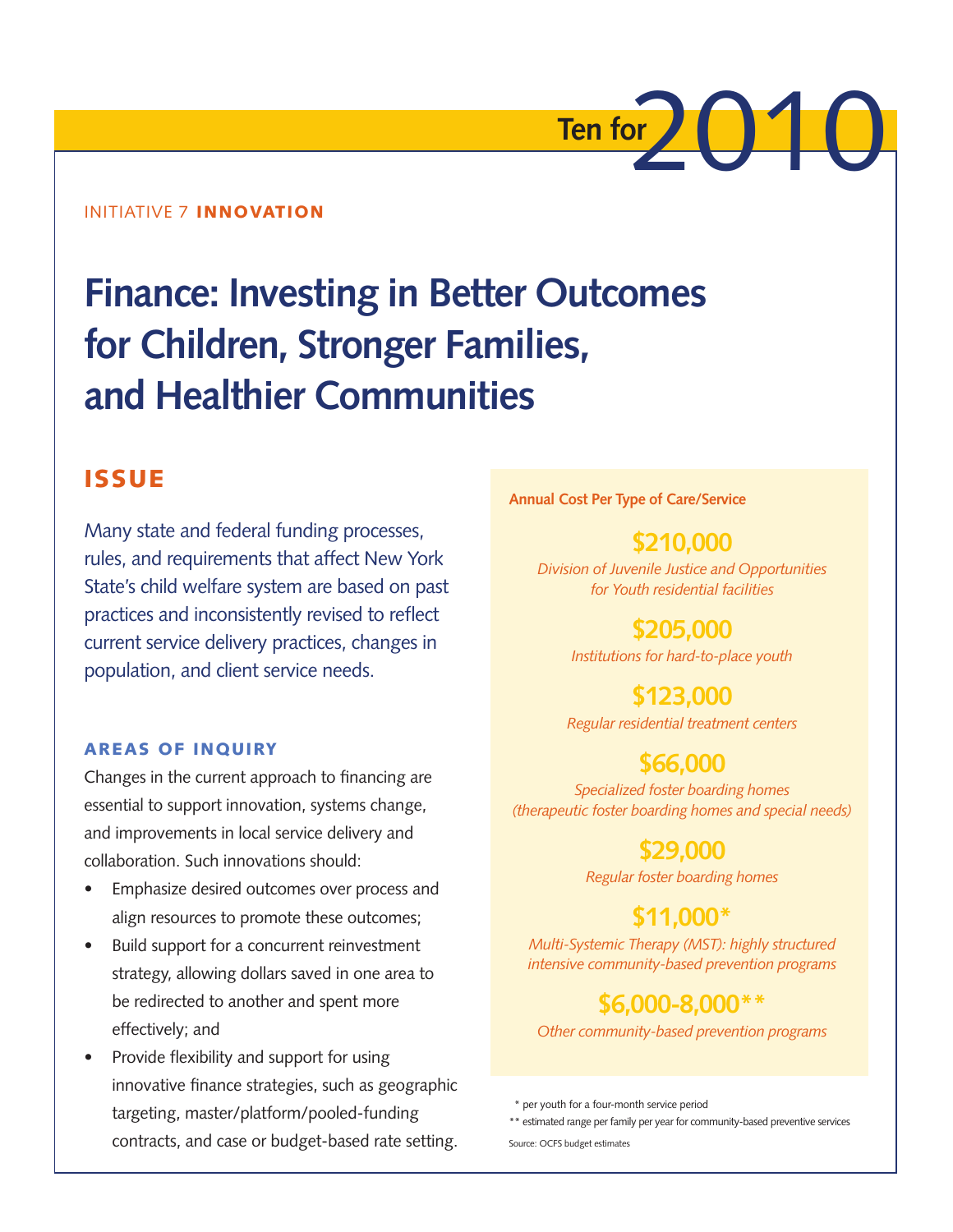#### Initiative 7 innovation

# **Finance: Investing in Better Outcomes for Children, Stronger Families, and Healthier Communities**

## **ISSUE**

Many state and federal funding processes, rules, and requirements that affect New York State's child welfare system are based on past practices and inconsistently revised to reflect current service delivery practices, changes in population, and client service needs.

#### Areas of inquiry

Changes in the current approach to financing are essential to support innovation, systems change, and improvements in local service delivery and collaboration. Such innovations should:

- Emphasize desired outcomes over process and align resources to promote these outcomes;
- Build support for a concurrent reinvestment strategy, allowing dollars saved in one area to be redirected to another and spent more effectively; and
- Provide flexibility and support for using innovative finance strategies, such as geographic targeting, master/platform/pooled-funding contracts, and case or budget-based rate setting.

**Annual Cost Per Type of Care/Service**

# **\$210,000**

**Ten for** 2010

*Division of Juvenile Justice and Opportunities for Youth residential facilities*

# **\$205,000**

*Institutions for hard-to-place youth* 

# **\$123,000**

*Regular residential treatment centers*

# **\$66,000**

*Specialized foster boarding homes (therapeutic foster boarding homes and special needs)* 

### **\$29,000**

*Regular foster boarding homes*

## **\$11,000\***

*Multi-Systemic Therapy (MST): highly structured intensive community-based prevention programs*

# **\$6,000-8,000\*\***

*Other community-based prevention programs*

\* per youth for a four-month service period

\*\* estimated range per family per year for community-based preventive services Source: OCFS budget estimates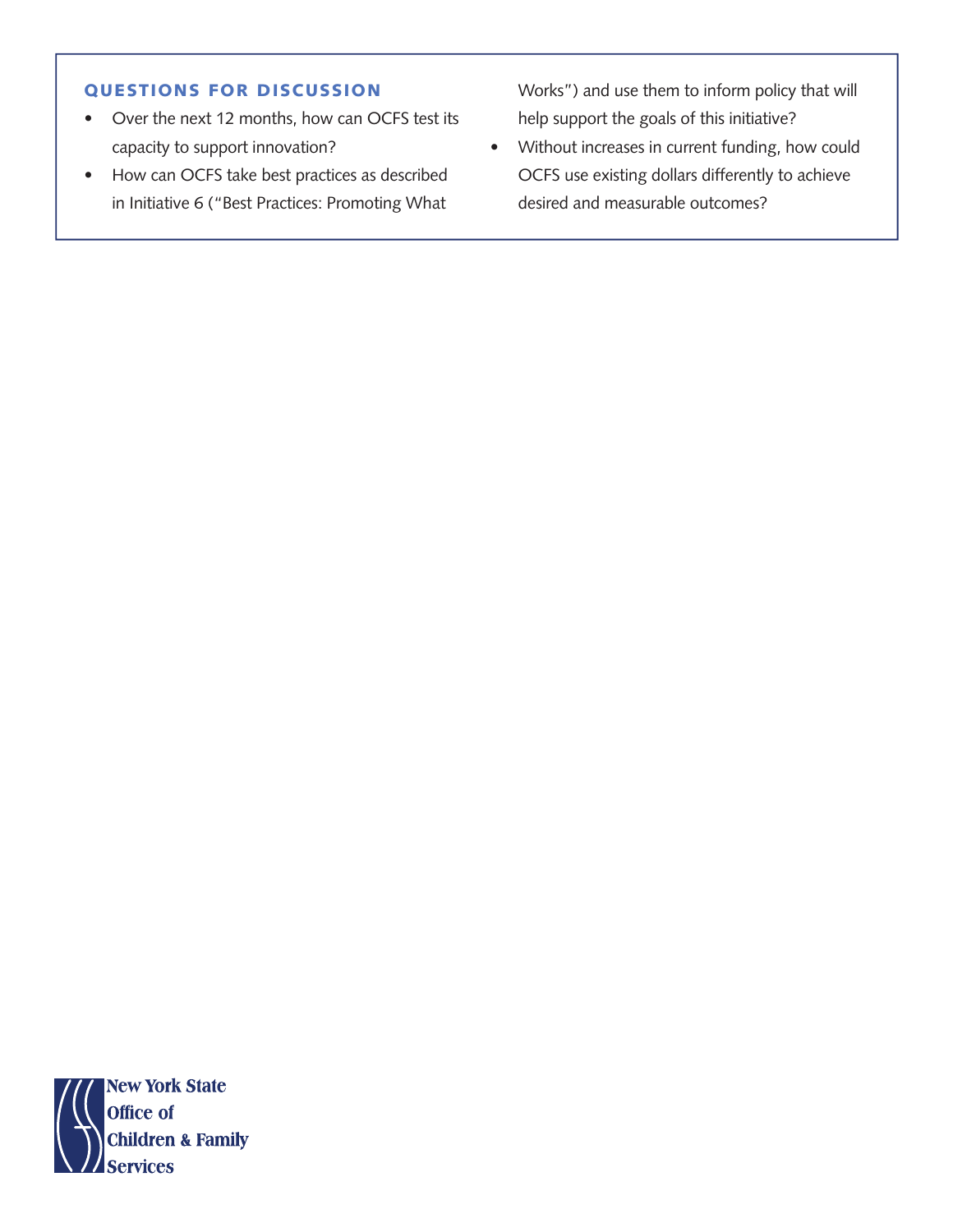#### Questions for discussion

- Over the next 12 months, how can OCFS test its capacity to support innovation?
- How can OCFS take best practices as described in Initiative 6 ("Best Practices: Promoting What

Works") and use them to inform policy that will help support the goals of this initiative?

• Without increases in current funding, how could OCFS use existing dollars differently to achieve desired and measurable outcomes?

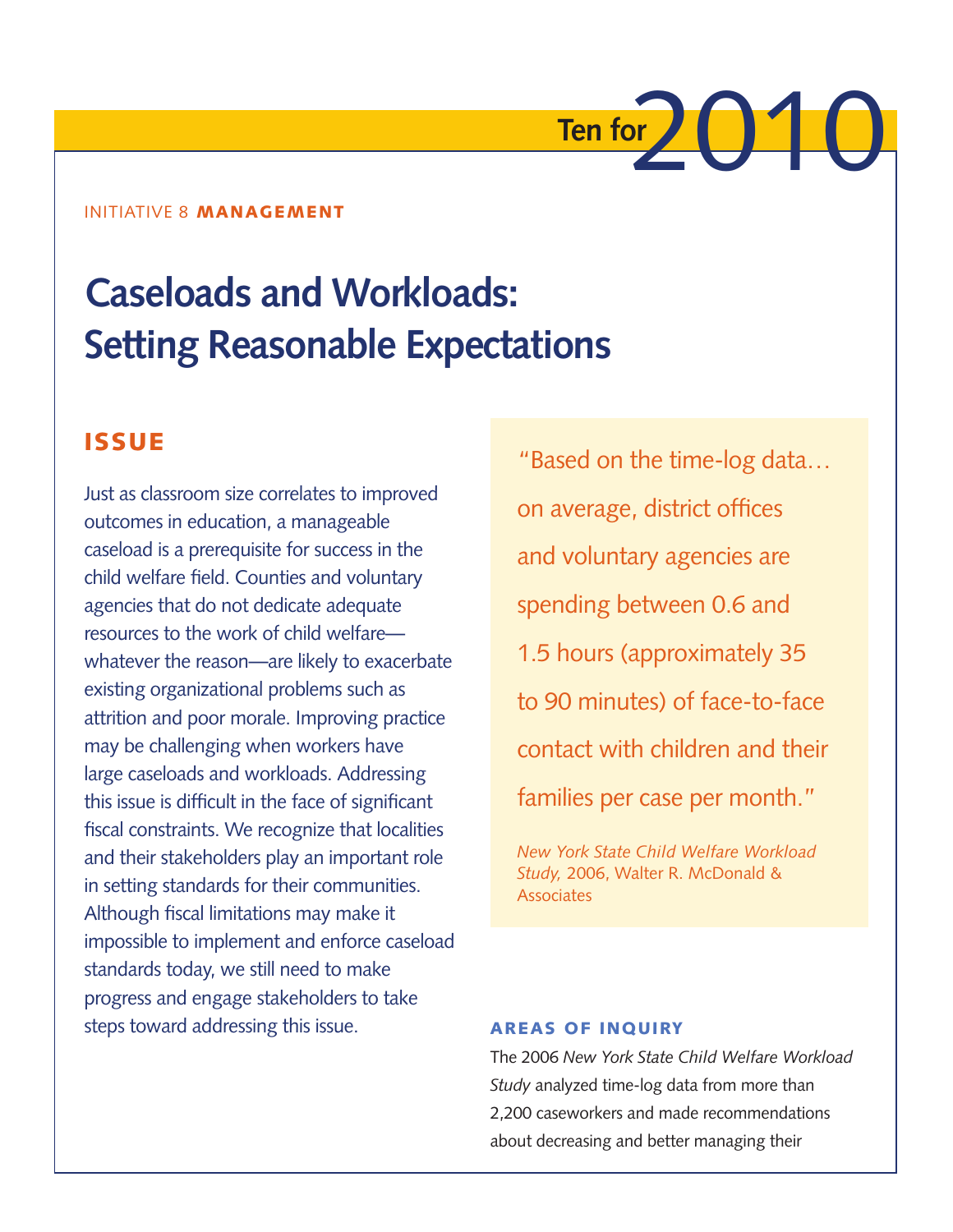# **Ten for** 2010

#### INITIATIVE 8 **MANAGEMENT**

# **Caseloads and Workloads: Setting Reasonable Expectations**

## **ISSUE**

Just as classroom size correlates to improved outcomes in education, a manageable caseload is a prerequisite for success in the child welfare field. Counties and voluntary agencies that do not dedicate adequate resources to the work of child welfare whatever the reason—are likely to exacerbate existing organizational problems such as attrition and poor morale. Improving practice may be challenging when workers have large caseloads and workloads. Addressing this issue is difficult in the face of significant fiscal constraints. We recognize that localities and their stakeholders play an important role in setting standards for their communities. Although fiscal limitations may make it impossible to implement and enforce caseload standards today, we still need to make progress and engage stakeholders to take steps toward addressing this issue.

"Based on the time-log data… on average, district offices and voluntary agencies are spending between 0.6 and 1.5 hours (approximately 35 to 90 minutes) of face-to-face contact with children and their families per case per month."

*New York State Child Welfare Workload Study,* 2006, Walter R. McDonald & **Associates** 

#### Areas of inquiry

The 2006 *New York State Child Welfare Workload Study* analyzed time-log data from more than 2,200 caseworkers and made recommendations about decreasing and better managing their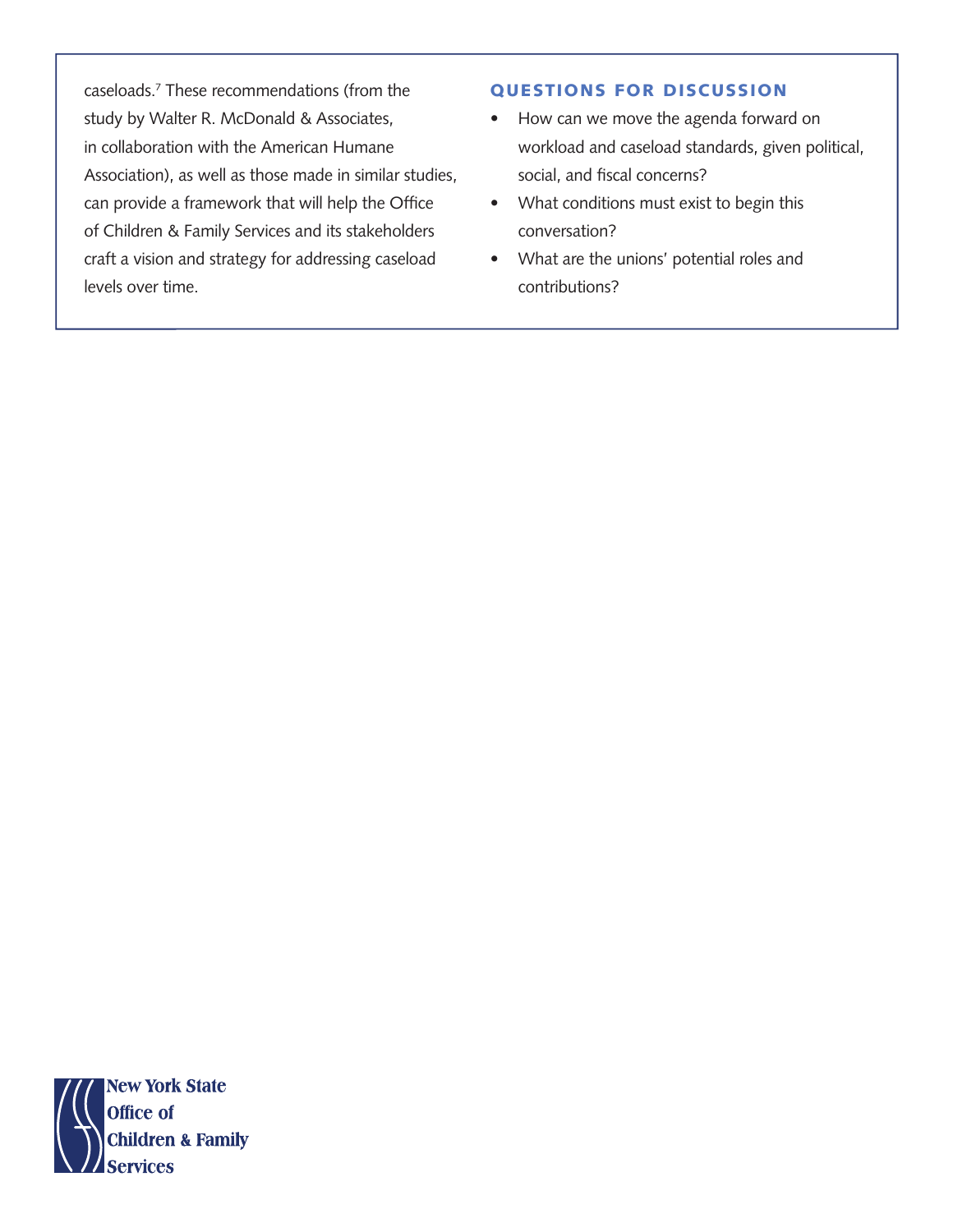caseloads.7 These recommendations (from the study by Walter R. McDonald & Associates, in collaboration with the American Humane Association), as well as those made in similar studies, can provide a framework that will help the Office of Children & Family Services and its stakeholders craft a vision and strategy for addressing caseload levels over time.

- How can we move the agenda forward on workload and caseload standards, given political, social, and fiscal concerns?
- What conditions must exist to begin this conversation?
- What are the unions' potential roles and contributions?

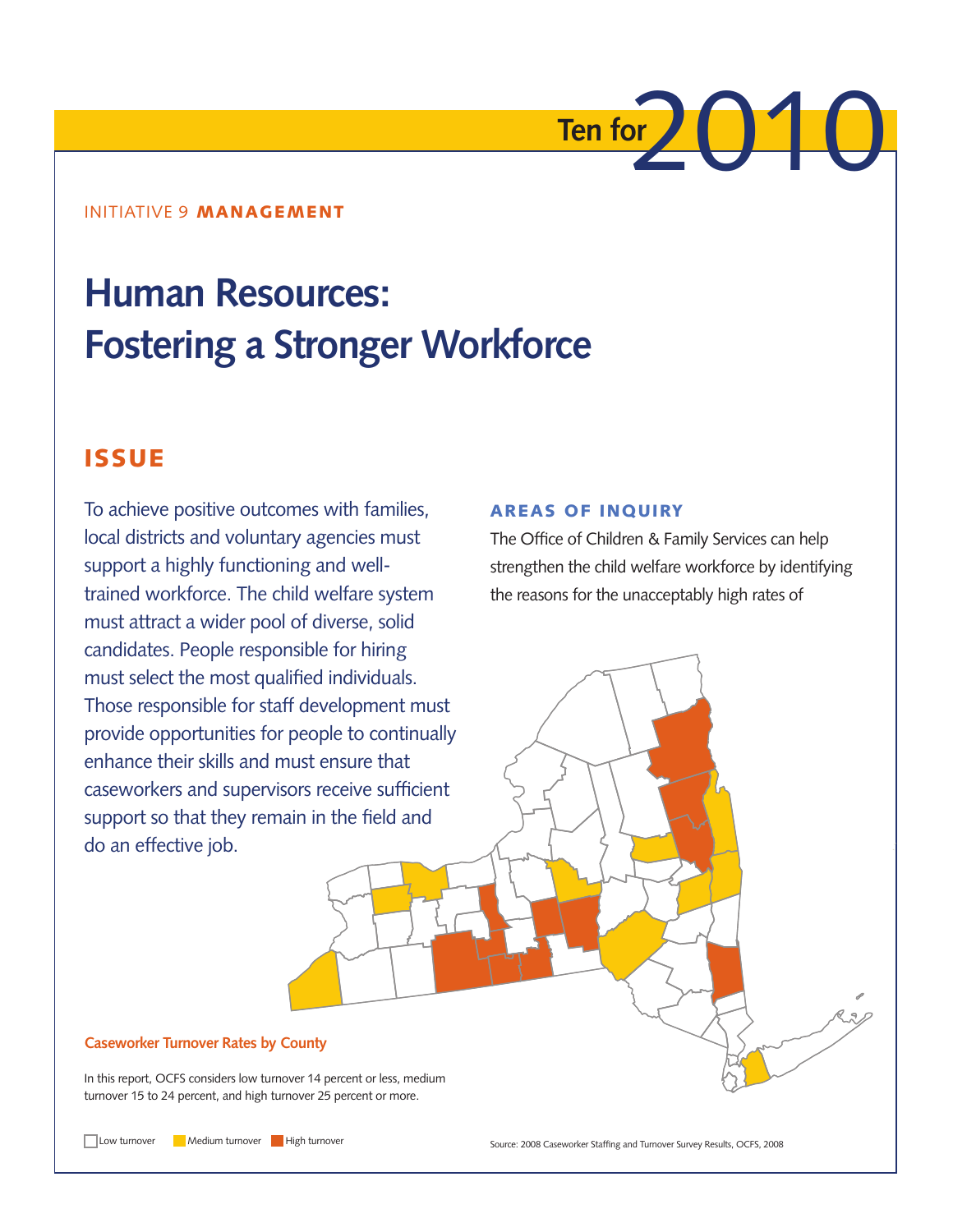#### INITIATIVE 9 **MANAGEMENT**

# **Human Resources: Fostering a Stronger Workforce**

### **ISSUE**

To achieve positive outcomes with families, local districts and voluntary agencies must support a highly functioning and welltrained workforce. The child welfare system must attract a wider pool of diverse, solid candidates. People responsible for hiring must select the most qualified individuals. Those responsible for staff development must provide opportunities for people to continually enhance their skills and must ensure that caseworkers and supervisors receive sufficient support so that they remain in the field and do an effective job.

#### Areas of inquiry

The Office of Children & Family Services can help strengthen the child welfare workforce by identifying the reasons for the unacceptably high rates of

#### **Caseworker Turnover Rates by County**

In this report, OCFS considers low turnover 14 percent or less, medium turnover 15 to 24 percent, and high turnover 25 percent or more.

**T** Low turnover **Medium turnover** High turnover

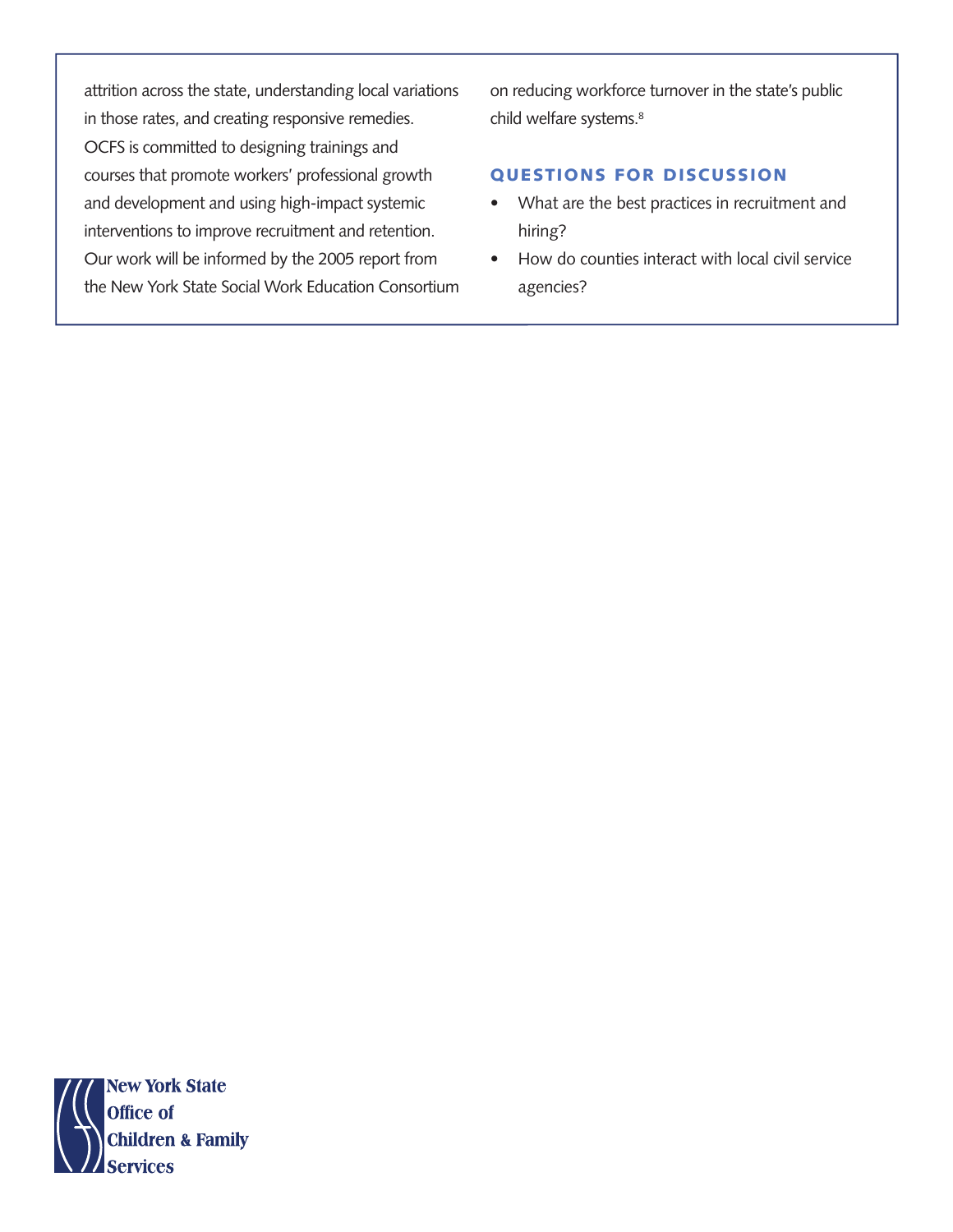attrition across the state, understanding local variations in those rates, and creating responsive remedies. OCFS is committed to designing trainings and courses that promote workers' professional growth and development and using high-impact systemic interventions to improve recruitment and retention. Our work will be informed by the 2005 report from the New York State Social Work Education Consortium on reducing workforce turnover in the state's public child welfare systems.<sup>8</sup>

- What are the best practices in recruitment and hiring?
- How do counties interact with local civil service agencies?

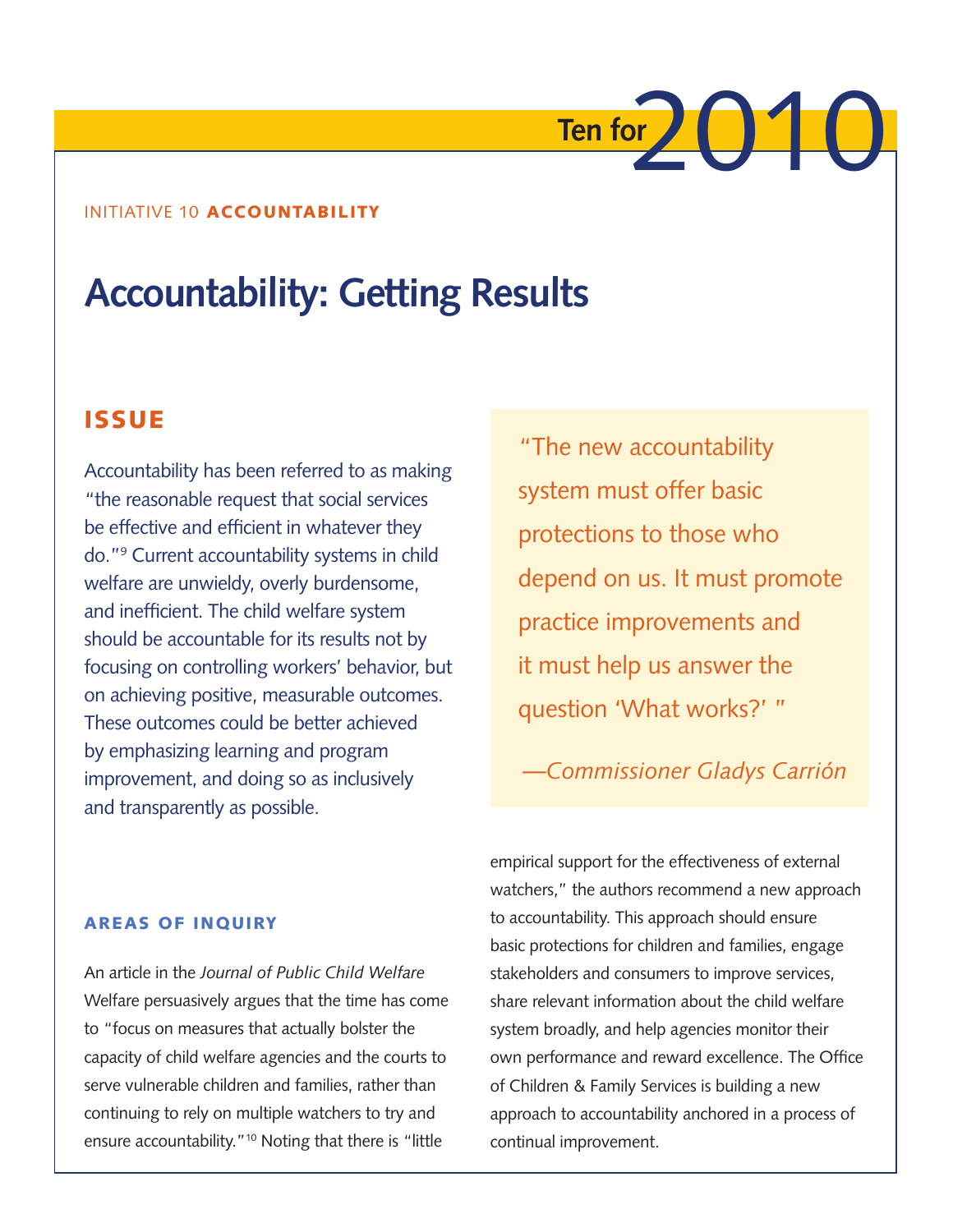

#### INITIATIVE 10 ACCOUNTABILITY

# **Accountability: Getting Results**

## Issue

Accountability has been referred to as making "the reasonable request that social services be effective and efficient in whatever they do."9 Current accountability systems in child welfare are unwieldy, overly burdensome, and inefficient. The child welfare system should be accountable for its results not by focusing on controlling workers' behavior, but on achieving positive, measurable outcomes. These outcomes could be better achieved by emphasizing learning and program improvement, and doing so as inclusively and transparently as possible.

"The new accountability system must offer basic protections to those who depend on us. It must promote practice improvements and it must help us answer the question 'What works?' "

*—Commissioner Gladys Carrión*

#### Areas of inquiry

An article in the *Journal of Public Child Welfare*  Welfare persuasively argues that the time has come to "focus on measures that actually bolster the capacity of child welfare agencies and the courts to serve vulnerable children and families, rather than continuing to rely on multiple watchers to try and ensure accountability."<sup>10</sup> Noting that there is "little

empirical support for the effectiveness of external watchers," the authors recommend a new approach to accountability. This approach should ensure basic protections for children and families, engage stakeholders and consumers to improve services, share relevant information about the child welfare system broadly, and help agencies monitor their own performance and reward excellence. The Office of Children & Family Services is building a new approach to accountability anchored in a process of continual improvement.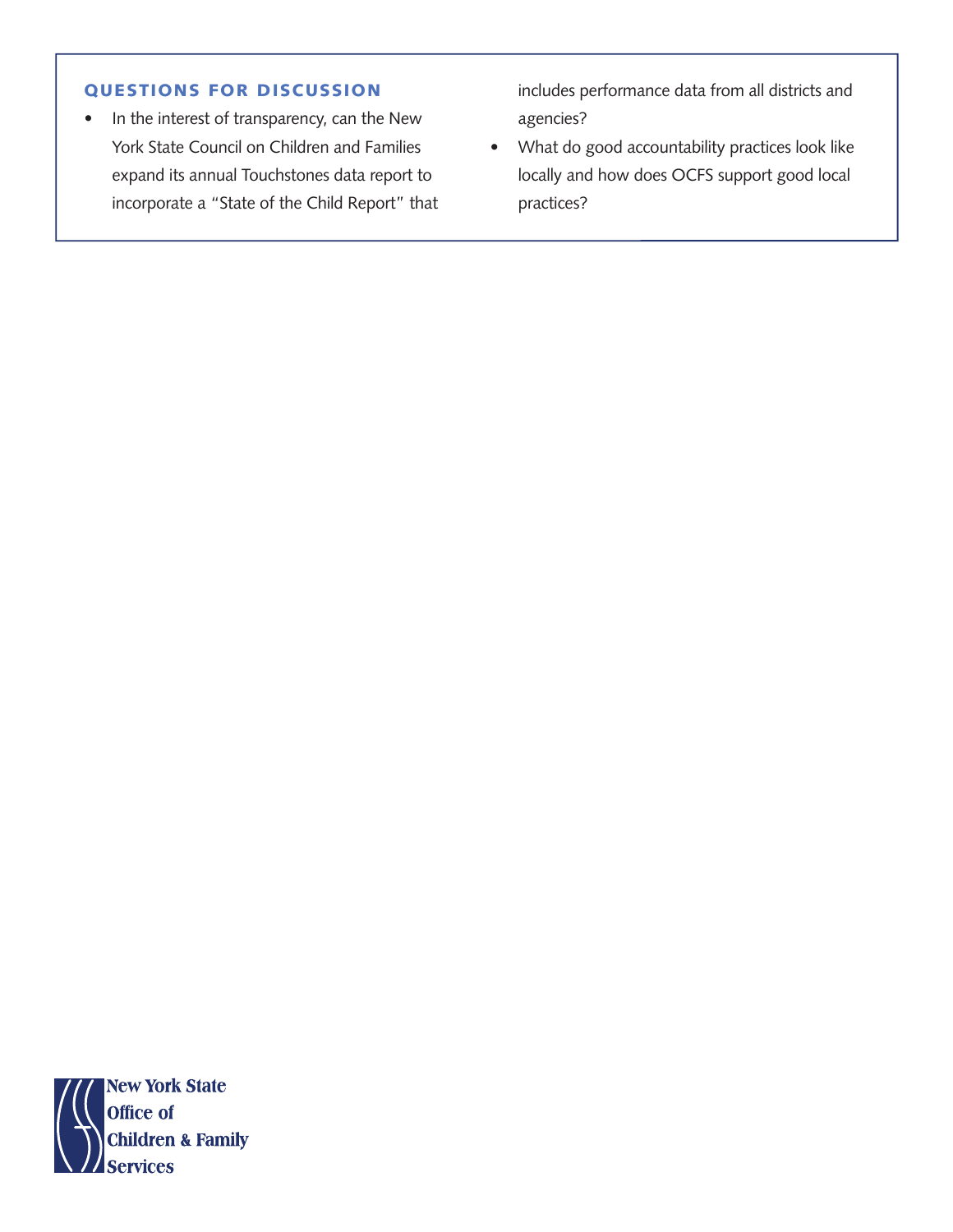#### Questions for discussion

• In the interest of transparency, can the New York State Council on Children and Families expand its annual Touchstones data report to incorporate a "State of the Child Report" that includes performance data from all districts and agencies?

• What do good accountability practices look like locally and how does OCFS support good local practices?

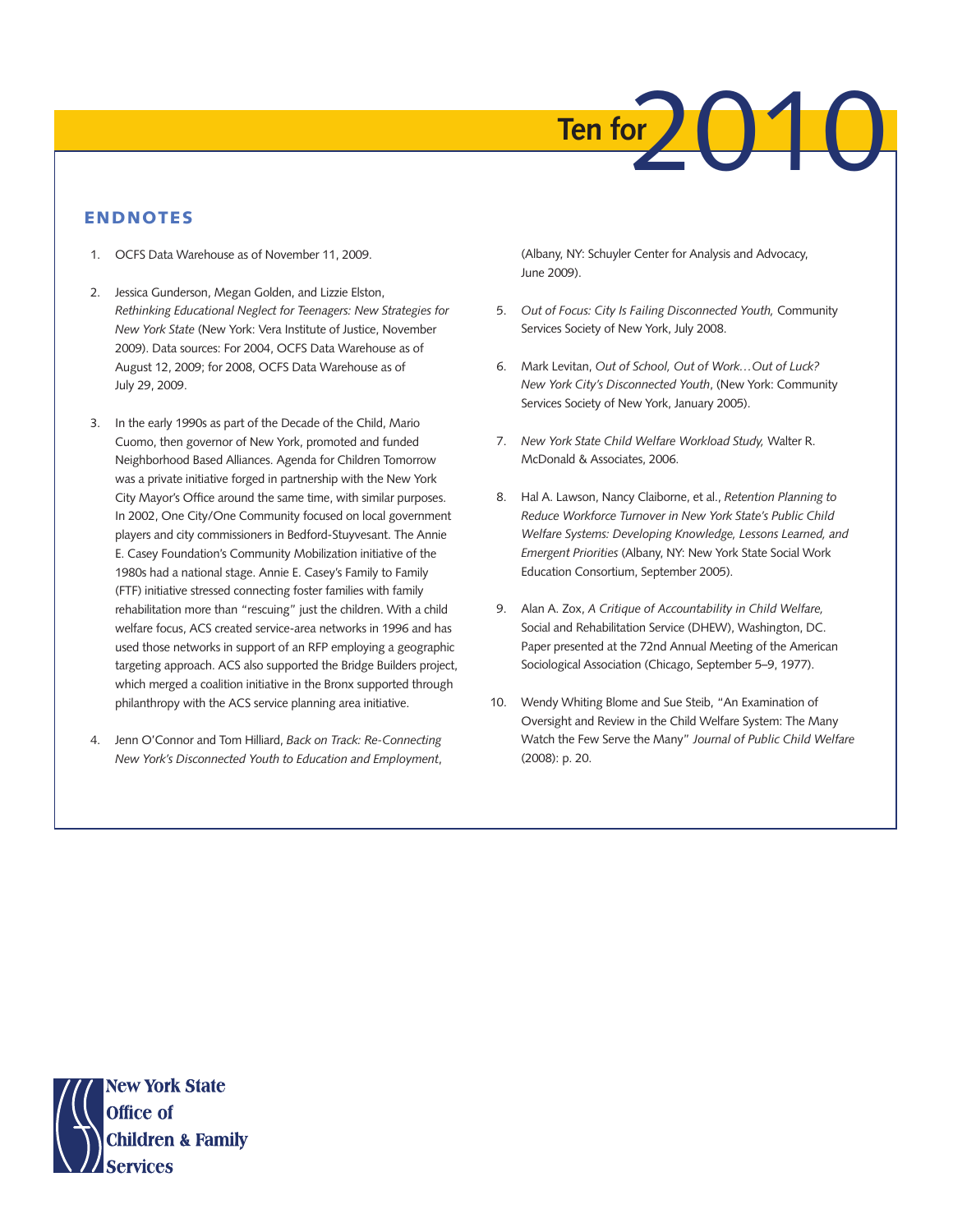

#### **ENDNOTES**

- 1. OCFS Data Warehouse as of November 11, 2009.
- 2. Jessica Gunderson, Megan Golden, and Lizzie Elston, *Rethinking Educational Neglect for Teenagers: New Strategies for New York State* (New York: Vera Institute of Justice, November 2009). Data sources: For 2004, OCFS Data Warehouse as of August 12, 2009; for 2008, OCFS Data Warehouse as of July 29, 2009.
- 3. In the early 1990s as part of the Decade of the Child, Mario Cuomo, then governor of New York, promoted and funded Neighborhood Based Alliances. Agenda for Children Tomorrow was a private initiative forged in partnership with the New York City Mayor's Office around the same time, with similar purposes. In 2002, One City/One Community focused on local government players and city commissioners in Bedford-Stuyvesant. The Annie E. Casey Foundation's Community Mobilization initiative of the 1980s had a national stage. Annie E. Casey's Family to Family (FTF) initiative stressed connecting foster families with family rehabilitation more than "rescuing" just the children. With a child welfare focus, ACS created service-area networks in 1996 and has used those networks in support of an RFP employing a geographic targeting approach. ACS also supported the Bridge Builders project, which merged a coalition initiative in the Bronx supported through philanthropy with the ACS service planning area initiative.
- 4. Jenn O'Connor and Tom Hilliard, *Back on Track: Re-Connecting New York's Disconnected Youth to Education and Employment*,

(Albany, NY: Schuyler Center for Analysis and Advocacy, June 2009).

- 5. *Out of Focus: City Is Failing Disconnected Youth,* Community Services Society of New York, July 2008.
- 6. Mark Levitan, *Out of School, Out of Work…Out of Luck? New York City's Disconnected Youth*, (New York: Community Services Society of New York, January 2005).
- 7. *New York State Child Welfare Workload Study,* Walter R. McDonald & Associates, 2006.
- 8. Hal A. Lawson, Nancy Claiborne, et al., *Retention Planning to Reduce Workforce Turnover in New York State's Public Child Welfare Systems: Developing Knowledge, Lessons Learned, and Emergent Priorities* (Albany, NY: New York State Social Work Education Consortium, September 2005).
- 9. Alan A. Zox, *A Critique of Accountability in Child Welfare,* Social and Rehabilitation Service (DHEW), Washington, DC. Paper presented at the 72nd Annual Meeting of the American Sociological Association (Chicago, September 5–9, 1977).
- 10. Wendy Whiting Blome and Sue Steib, "An Examination of Oversight and Review in the Child Welfare System: The Many Watch the Few Serve the Many" *Journal of Public Child Welfare* (2008): p. 20.